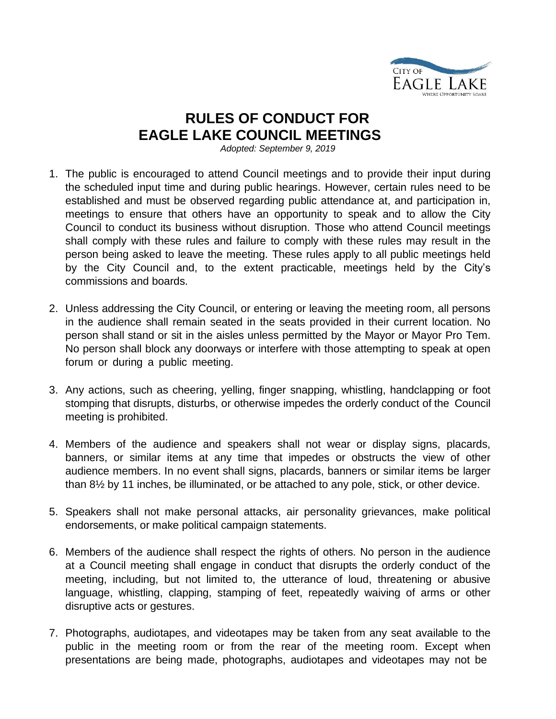

## **RULES OF CONDUCT FOR EAGLE LAKE COUNCIL MEETINGS**

*Adopted: September 9, 2019*

- 1. The public is encouraged to attend Council meetings and to provide their input during the scheduled input time and during public hearings. However, certain rules need to be established and must be observed regarding public attendance at, and participation in, meetings to ensure that others have an opportunity to speak and to allow the City Council to conduct its business without disruption. Those who attend Council meetings shall comply with these rules and failure to comply with these rules may result in the person being asked to leave the meeting. These rules apply to all public meetings held by the City Council and, to the extent practicable, meetings held by the City's commissions and boards.
- 2. Unless addressing the City Council, or entering or leaving the meeting room, all persons in the audience shall remain seated in the seats provided in their current location. No person shall stand or sit in the aisles unless permitted by the Mayor or Mayor Pro Tem. No person shall block any doorways or interfere with those attempting to speak at open forum or during a public meeting.
- 3. Any actions, such as cheering, yelling, finger snapping, whistling, handclapping or foot stomping that disrupts, disturbs, or otherwise impedes the orderly conduct of the Council meeting is prohibited.
- 4. Members of the audience and speakers shall not wear or display signs, placards, banners, or similar items at any time that impedes or obstructs the view of other audience members. In no event shall signs, placards, banners or similar items be larger than 8½ by 11 inches, be illuminated, or be attached to any pole, stick, or other device.
- 5. Speakers shall not make personal attacks, air personality grievances, make political endorsements, or make political campaign statements.
- 6. Members of the audience shall respect the rights of others. No person in the audience at a Council meeting shall engage in conduct that disrupts the orderly conduct of the meeting, including, but not limited to, the utterance of loud, threatening or abusive language, whistling, clapping, stamping of feet, repeatedly waiving of arms or other disruptive acts or gestures.
- 7. Photographs, audiotapes, and videotapes may be taken from any seat available to the public in the meeting room or from the rear of the meeting room. Except when presentations are being made, photographs, audiotapes and videotapes may not be